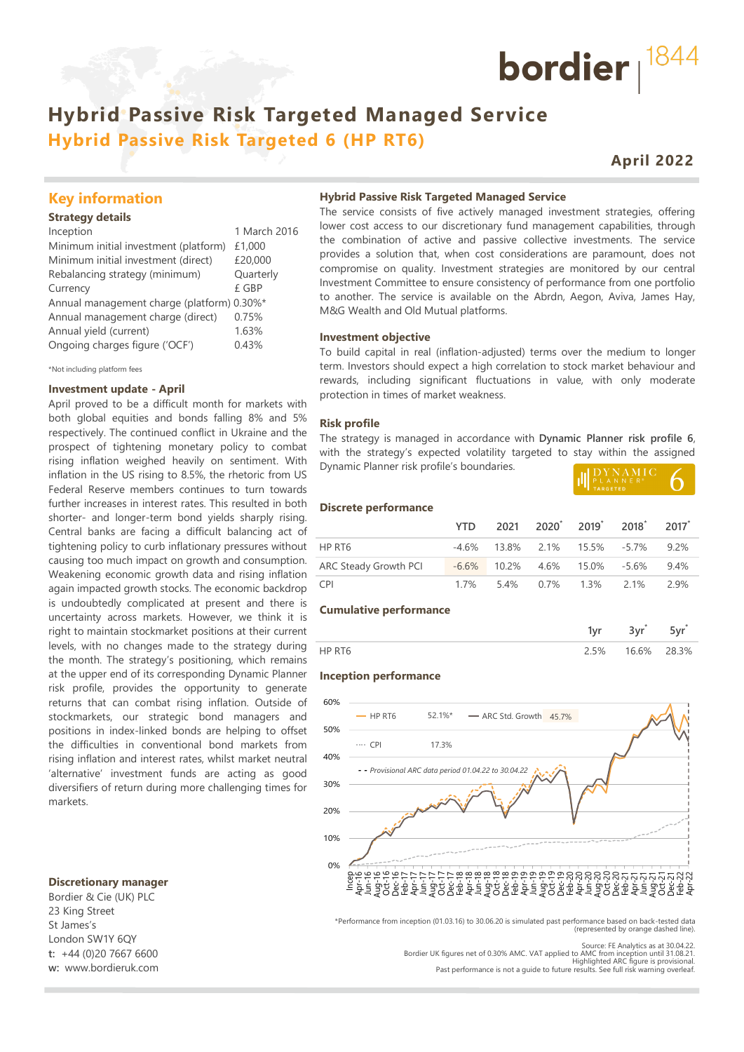## **Hybrid Passive Risk Targeted Managed Service Hybrid Passive Risk Targeted 6 (HP RT6)**

## **April 2022**

bordier  $1844$ 

### **Key information**

#### **Strategy details**

| Inception                                  | 1 March 2016 |
|--------------------------------------------|--------------|
| Minimum initial investment (platform)      | £1,000       |
| Minimum initial investment (direct)        | £20,000      |
| Rebalancing strategy (minimum)             | Quarterly    |
| Currency                                   | £ GBP        |
| Annual management charge (platform) 0.30%* |              |
| Annual management charge (direct)          | 0.75%        |
| Annual yield (current)                     | 1.63%        |
| Ongoing charges figure ('OCF')             | 0.43%        |
|                                            |              |

\*Not including platform fees

#### **Investment update - April**

April proved to be a difficult month for markets with both global equities and bonds falling 8% and 5% respectively. The continued conflict in Ukraine and the prospect of tightening monetary policy to combat rising inflation weighed heavily on sentiment. With inflation in the US rising to 8.5%, the rhetoric from US Federal Reserve members continues to turn towards further increases in interest rates. This resulted in both shorter- and longer-term bond yields sharply rising. Central banks are facing a difficult balancing act of tightening policy to curb inflationary pressures without causing too much impact on growth and consumption. Weakening economic growth data and rising inflation again impacted growth stocks. The economic backdrop is undoubtedly complicated at present and there is uncertainty across markets. However, we think it is right to maintain stockmarket positions at their current levels, with no changes made to the strategy during the month. The strategy's positioning, which remains at the upper end of its corresponding Dynamic Planner risk profile, provides the opportunity to generate returns that can combat rising inflation. Outside of stockmarkets, our strategic bond managers and positions in index-linked bonds are helping to offset the difficulties in conventional bond markets from rising inflation and interest rates, whilst market neutral 'alternative' investment funds are acting as good diversifiers of return during more challenging times for markets.

#### **Discretionary manager**

Bordier & Cie (UK) PLC 23 King Street St James's London SW1Y 6QY **t:** +44 (0)20 7667 6600 **w:** www.bordieruk.com

#### **Hybrid Passive Risk Targeted Managed Service**

The service consists of five actively managed investment strategies, offering lower cost access to our discretionary fund management capabilities, through the combination of active and passive collective investments. The service provides a solution that, when cost considerations are paramount, does not compromise on quality. Investment strategies are monitored by our central Investment Committee to ensure consistency of performance from one portfolio to another. The service is available on the Abrdn, Aegon, Aviva, James Hay, M&G Wealth and Old Mutual platforms.

#### **Investment objective**

To build capital in real (inflation-adjusted) terms over the medium to longer term. Investors should expect a high correlation to stock market behaviour and rewards, including significant fluctuations in value, with only moderate protection in times of market weakness.

#### **Risk profile**

The strategy is managed in accordance with **Dynamic Planner risk profile 6**, with the strategy's expected volatility targeted to stay within the assigned Dynamic Planner risk profile's boundaries. **LIDYNAMIC** 

|            |  | PLANNER <sup>®</sup> |                          |  |
|------------|--|----------------------|--------------------------|--|
| <b>YTD</b> |  |                      | 2021 2020 2019 2018 2017 |  |
|            |  |                      |                          |  |

|  |  | 2000 - 2010 - 2010 - 2010 - 2010 - 2010 - 2020 - 2020 - 2020 - 2020 - 2020 - 2020 - 2020 - 2020 - 20 |  |
|--|--|------------------------------------------------------------------------------------------------------|--|
|  |  |                                                                                                      |  |

**Discrete performance**

|                       |        |  | YTD 2021 2020 2019 2018 2017         |      |
|-----------------------|--------|--|--------------------------------------|------|
| HP RT6                |        |  | $-4.6\%$ 13.8% 2.1% 15.5% -5.7% 9.2% |      |
| ARC Steady Growth PCI |        |  | $-6.6\%$ 10.2% 4.6% 15.0% -5.6%      | 9.4% |
| CPI.                  | $17\%$ |  | 5.4% 0.7% 1.3% 2.1%                  | 2.9% |

#### **Cumulative performance**

|    | $\sim$<br>4.895 |       |
|----|-----------------|-------|
| 5% | 16.6%           | 28 3% |

#### **Inception performance**



\*Performance from inception (01.03.16) to 30.06.20 is simulated past performance based on back-tested data (represented by orange dashed line).

Source: FE Analytics as at 30.04.22. Bordier UK figures net of 0.30% AMC. VAT applied to AMC from inception until 31.08.21. Highlighted ARC figure is provisional. Past performance is not a guide to future results. See full risk warning overleaf